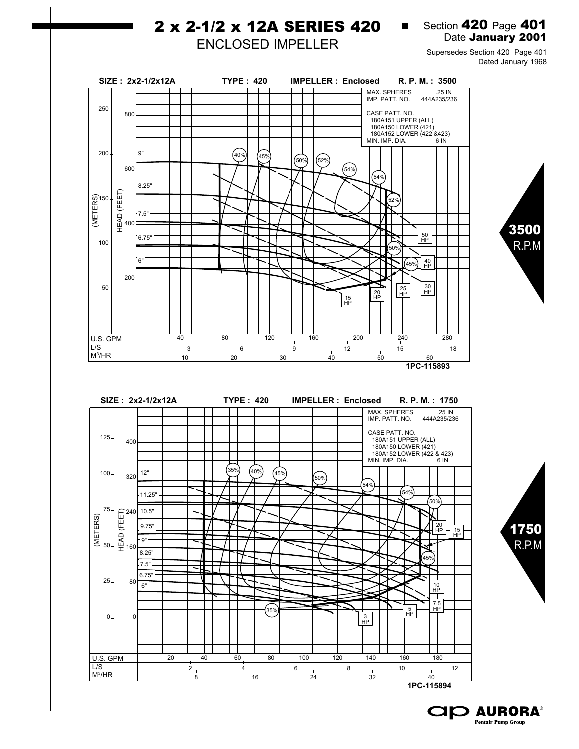## 2 x 2-1/2 x 12A SERIES 420

Section 420 Page 401 Date January 2001

 $\blacksquare$ 

## ENCLOSED IMPELLER

Supersedes Section 420 Page 401 Dated January 1968

> 3500 R.P.M

1750 R.P.M



**1PC-115894**

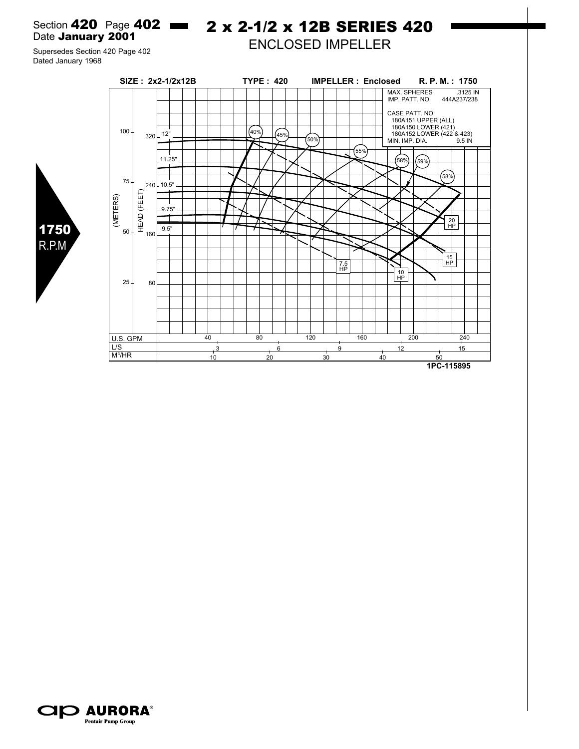Section 420 Page 402 **- 2 x 2-1/2 x 12B SERIES 420** Date January 2001

ENCLOSED IMPELLER

Supersedes Section 420 Page 402 Dated January 1968

1750 R.P.M



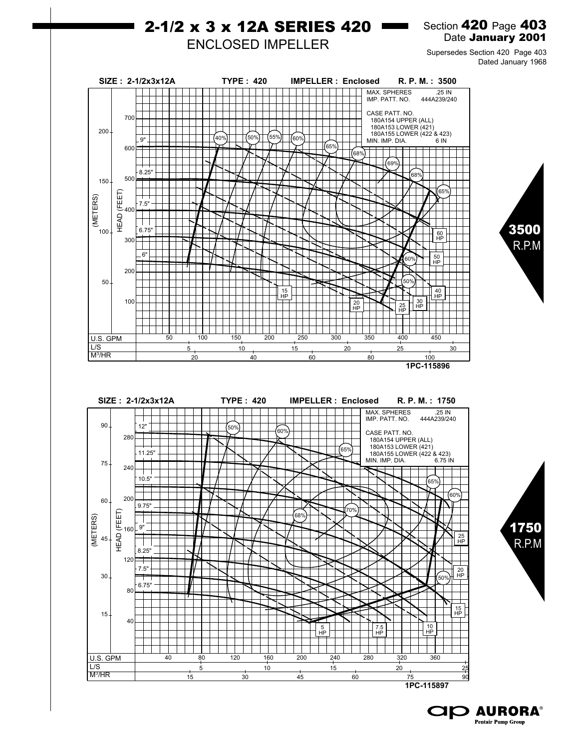

**1PC-115897**

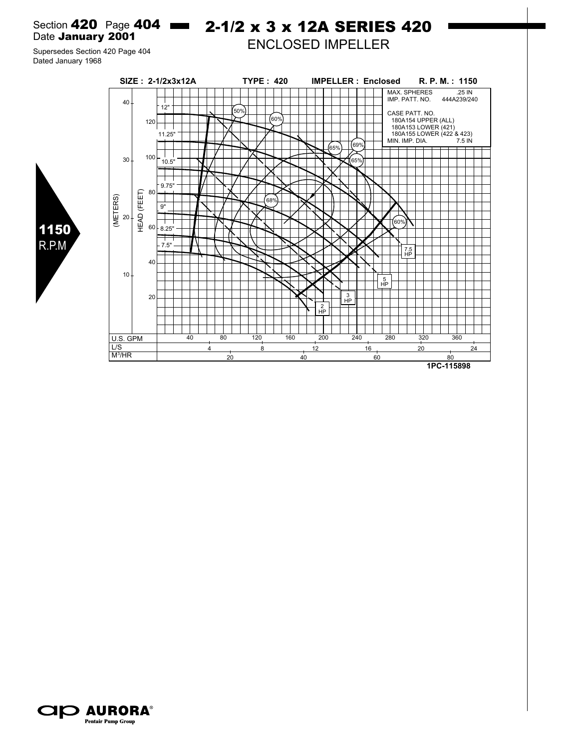Section 420 Page 404 **- 2-1/2 x 3 x 12A SERIES 420** Date January 2001

Supersedes Section 420 Page 404 Dated January 1968



ENCLOSED IMPELLER



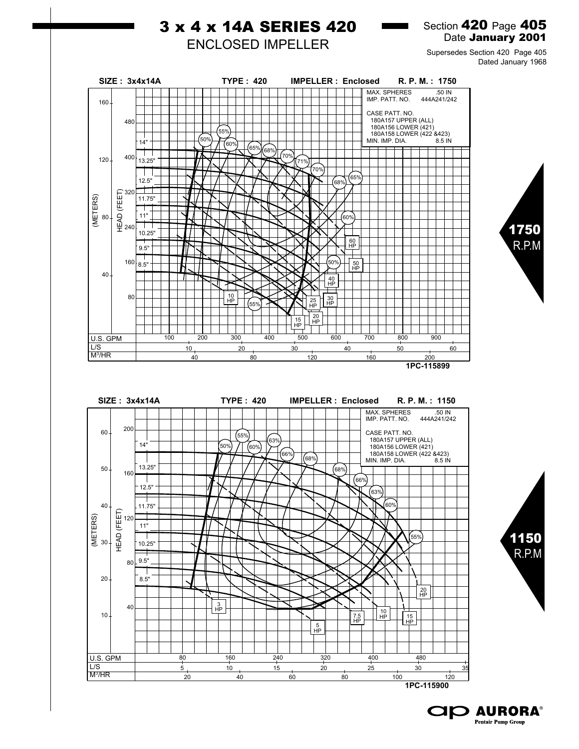

**CID AURORA® Pentair Pump Group**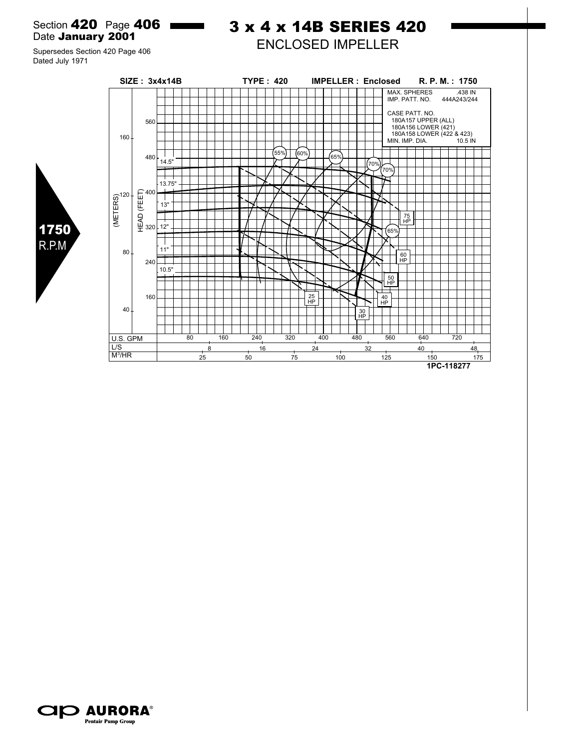Section **420** Page **406 Reserves** Date January 2001

## 3 x 4 x 14B SERIES 420 ENCLOSED IMPELLER

Supersedes Section 420 Page 406 Dated July 1971

1750 R.P.M



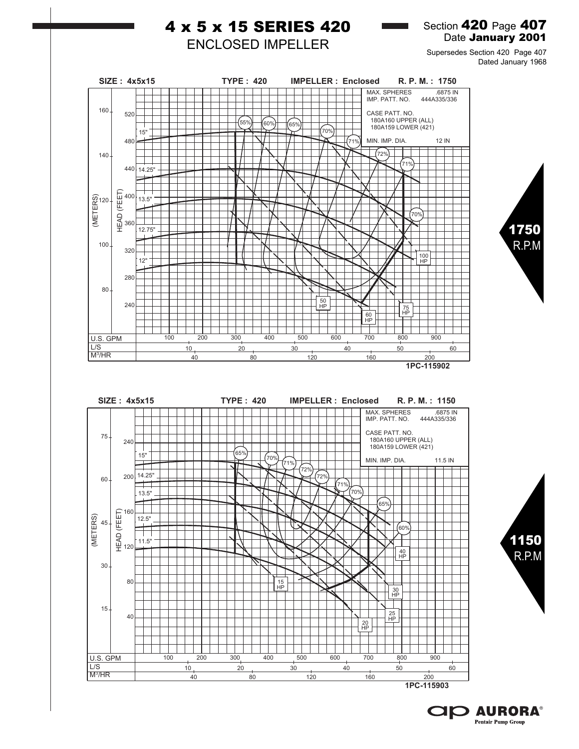

**1PC-115903**

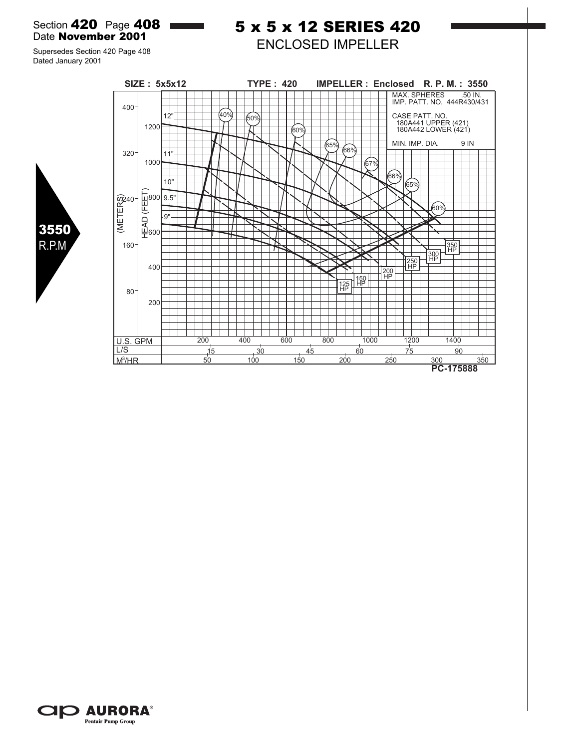Section **420** Page **408** Date November 2001

5 x 5 x 12 SERIES 420 ENCLOSED IMPELLER

Supersedes Section 420 Page 408 Dated January 2001





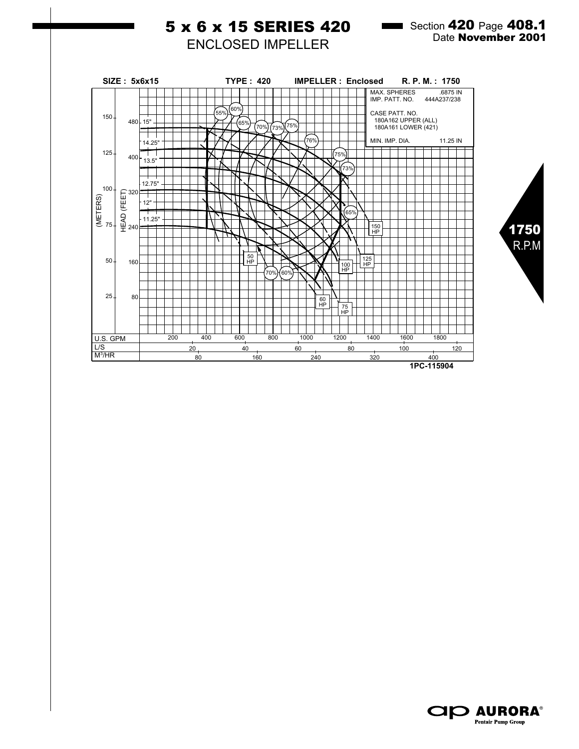

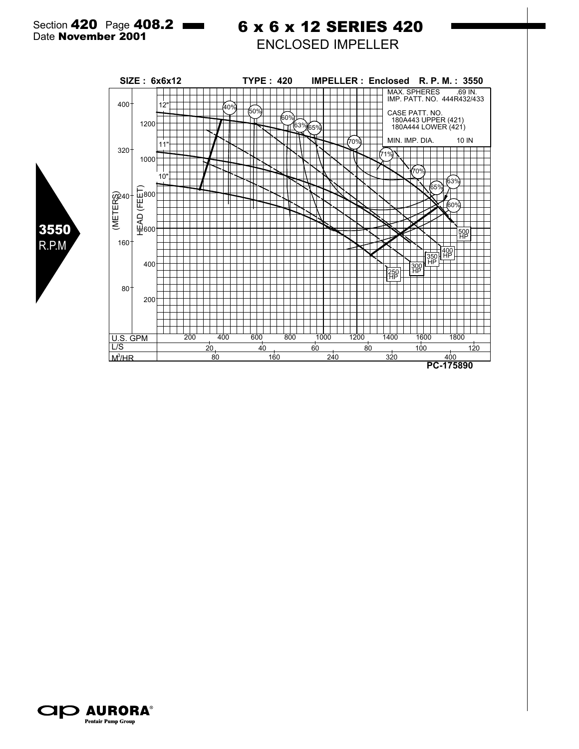3550 R.P.M

## 6 x 6 x 12 SERIES 420 ENCLOSED IMPELLER



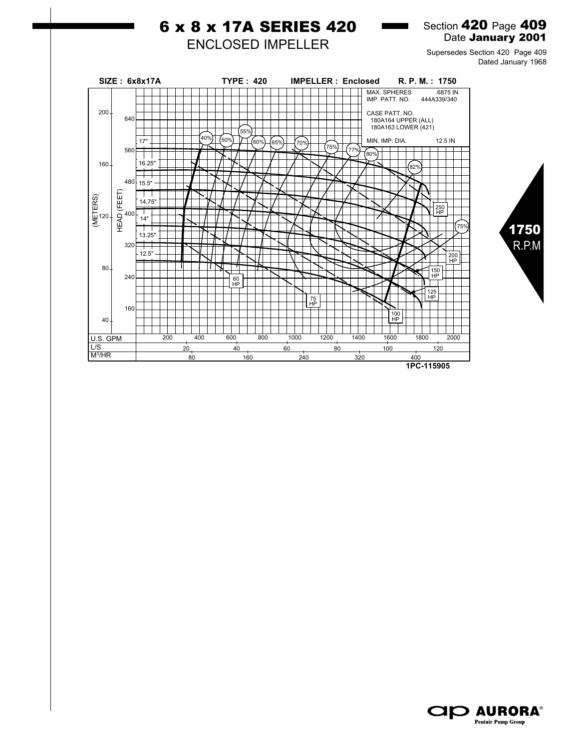